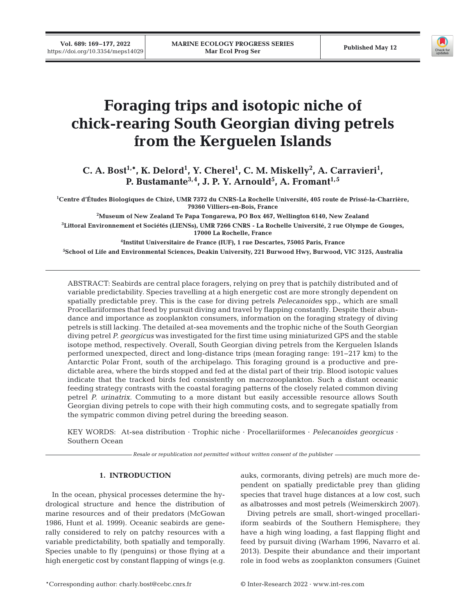

# **Foraging trips and isotopic niche of chick-rearing South Georgian diving petrels from the Kerguelen Islands**

C. A. Bost<sup>1,\*</sup>, K. Delord<sup>1</sup>, Y. Cherel<sup>1</sup>, C. M. Miskelly<sup>2</sup>, A. Carravieri<sup>1</sup>, **P. Bustamante3,4, J. P. Y. Arnould5 , A. Fromant1,5** 

**1 Centre d'Études Biologiques de Chizé, UMR 7372 du CNRS-La Rochelle Université, 405 route de Prissé-la-Charrière, 79360 Villiers-en-Bois, France** 

**2 Museum of New Zealand Te Papa Tongarewa, PO Box 467, Wellington 6140, New Zealand 3 Littoral Environnement et Sociétés (LIENSs), UMR 7266 CNRS - La Rochelle Université, 2 rue Olympe de Gouges, 17000 La Rochelle, France** 

**4 Institut Universitaire de France (IUF), 1 rue Descartes, 75005 Paris, France 5 School of Life and Environmental Sciences, Deakin University, 221 Burwood Hwy, Burwood, VIC 3125, Australia**

ABSTRACT: Seabirds are central place foragers, relying on prey that is patchily distributed and of variable predictability. Species travelling at a high energetic cost are more strongly dependent on spatially predictable prey. This is the case for diving petrels *Pelecanoides* spp., which are small Procellariiformes that feed by pursuit diving and travel by flapping constantly. Despite their abundance and importance as zooplankton consumers, information on the foraging strategy of diving petrels is still lacking. The detailed at-sea movements and the trophic niche of the South Georgian diving petrel *P. georgicus* was investigated for the first time using miniaturized GPS and the stable isotope method, respectively. Overall, South Georgian diving petrels from the Kerguelen Islands performed unexpected, direct and long-distance trips (mean foraging range: 191−217 km) to the Antarctic Polar Front, south of the archipelago. This foraging ground is a productive and predictable area, where the birds stopped and fed at the distal part of their trip. Blood isotopic values indicate that the tracked birds fed consistently on macrozooplankton. Such a distant oceanic feeding strategy contrasts with the coastal foraging patterns of the closely related common diving petrel *P. urinatrix*. Commuting to a more distant but easily accessible resource allows South Georgian diving petrels to cope with their high commuting costs, and to segregate spatially from the sympatric common diving petrel during the breeding season.

KEY WORDS: At-sea distribution · Trophic niche · Procellariiformes · *Pelecanoides georgicus* · Southern Ocean

*Resale or republication not permitted without written consent of the publisher*

# **1. INTRODUCTION**

In the ocean, physical processes determine the hydrological structure and hence the distribution of marine resources and of their predators (McGowan 1986, Hunt et al. 1999). Oceanic seabirds are gene rally considered to rely on patchy resources with a variable predictability, both spatially and temporally. Species unable to fly (penguins) or those flying at a high energetic cost by constant flapping of wings (e.g.

auks, cormorants, diving petrels) are much more dependent on spatially predictable prey than gliding species that travel huge distances at a low cost, such as albatrosses and most petrels (Weimerskirch 2007).

Diving petrels are small, short-winged procellariiform seabirds of the Southern Hemisphere; they have a high wing loading, a fast flapping flight and feed by pursuit diving (Warham 1996, Navarro et al. 2013). Despite their abundance and their important role in food webs as zooplankton consumers (Guinet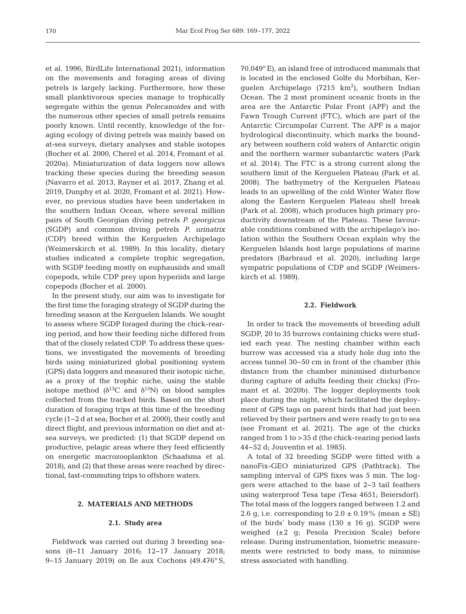et al. 1996, BirdLife International 2021), information on the movements and foraging areas of diving petrels is largely lacking. Furthermore, how these small planktivorous species manage to trophically segregate within the genus *Pelecanoides* and with the numerous other species of small petrels remains poorly known. Until recently, knowledge of the foraging ecology of diving petrels was mainly based on at-sea surveys, dietary analyses and stable isotopes (Bocher et al. 2000, Cherel et al. 2014, Fromant et al. 2020a). Miniaturization of data loggers now allows tracking these species during the breeding season (Navarro et al. 2013, Rayner et al. 2017, Zhang et al. 2019, Dunphy et al. 2020, Fromant et al. 2021). However, no previous studies have been undertaken in the southern Indian Ocean, where several million pairs of South Georgian diving petrels *P. georgicus*  (SGDP) and common diving petrels *P. urinatrix*  (CDP) breed within the Kerguelen Archipelago (Weimerskirch et al. 1989). In this locality, dietary studies indicated a complete trophic segregation, with SGDP feeding mostly on euphausiids and small copepods, while CDP prey upon hyperiids and large copepods (Bocher et al. 2000).

In the present study, our aim was to investigate for the first time the foraging strategy of SGDP during the breeding season at the Kerguelen Islands. We sought to assess where SGDP foraged during the chick-rearing period, and how their feeding niche differed from that of the closely related CDP. To address these questions, we investigated the movements of breeding birds using miniaturized global positioning system (GPS) data loggers and measured their isotopic niche, as a proxy of the trophic niche, using the stable isotope method  $(\delta^{13}C$  and  $\delta^{15}N)$  on blood samples collected from the tracked birds. Based on the short duration of foraging trips at this time of the breeding cycle (1−2 d at sea; Bocher et al. 2000), their costly and direct flight, and previous information on diet and atsea surveys, we predicted: (1) that SGDP depend on productive, pelagic areas where they feed efficiently on energetic macrozooplankton (Schaafsma et al. 2018), and (2) that these areas were reached by directional, fast-commuting trips to offshore waters.

# **2. MATERIALS AND METHODS**

#### **2.1. Study area**

Fieldwork was carried out during 3 breeding seasons (8−11 January 2016; 12−17 January 2018; 9−15 January 2019) on Ile aux Cochons (49.476° S, 70.049° E), an island free of introduced mammals that is located in the enclosed Golfe du Morbihan, Kerguelen Archipelago (7215  $km^2$ ), southern Indian Ocean. The 2 most prominent oceanic fronts in the area are the Antarctic Polar Front (APF) and the Fawn Trough Current (FTC), which are part of the Antarctic Circumpolar Current. The APF is a major hydrological discontinuity, which marks the boundary between southern cold waters of Antarctic origin and the northern warmer subantarctic waters (Park et al. 2014). The FTC is a strong current along the southern limit of the Kerguelen Plateau (Park et al. 2008). The bathymetry of the Kerguelen Plateau leads to an upwelling of the cold Winter Water flow along the Eastern Kerguelen Plateau shelf break (Park et al. 2008), which produces high primary productivity downstream of the Plateau. These favourable conditions combined with the archipelago's isolation within the Southern Ocean explain why the Kerguelen Islands host large populations of marine predators (Barbraud et al. 2020), including large sympatric populations of CDP and SGDP (Weimerskirch et al. 1989).

## **2.2. Fieldwork**

In order to track the movements of breeding adult SGDP, 20 to 35 burrows containing chicks were studied each year. The nesting chamber within each burrow was accessed via a study hole dug into the access tunnel 30−50 cm in front of the chamber (this distance from the chamber minimised disturbance during capture of adults feeding their chicks) (Fromant et al. 2020b). The logger deployments took place during the night, which facilitated the deployment of GPS tags on parent birds that had just been relieved by their partners and were ready to go to sea (see Fromant et al. 2021). The age of the chicks ranged from 1 to >35 d (the chick-rearing period lasts 44−52 d; Jouventin et al. 1985).

A total of 32 breeding SGDP were fitted with a nanoFix-GEO miniaturized GPS (Pathtrack). The sampling interval of GPS fixes was 5 min. The loggers were attached to the base of 2−3 tail feathers using waterproof Tesa tape (Tesa 4651; Beiersdorf). The total mass of the loggers ranged between 1.2 and 2.6 g, i.e. corresponding to  $2.0 \pm 0.19\%$  (mean  $\pm$  SE) of the birds' body mass  $(130 \pm 16 \text{ g})$ . SGDP were weighed (±2 g; Pesola Precision Scale) before release. During instrumentation, biometric measurements were restricted to body mass, to minimise stress associated with handling.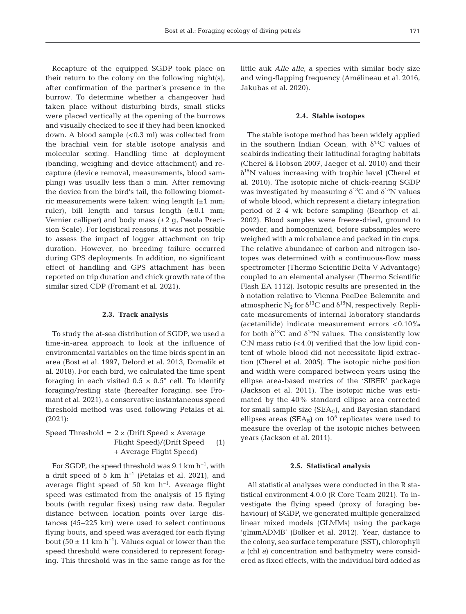Recapture of the equipped SGDP took place on their return to the colony on the following night(s), after confirmation of the partner's presence in the burrow. To determine whether a changeover had taken place without disturbing birds, small sticks were placed vertically at the opening of the burrows and visually checked to see if they had been knocked down. A blood sample  $( $0.3$  ml) was collected from$ the brachial vein for stable isotope analysis and molecular sexing. Handling time at deployment (banding, weighing and device attachment) and re capture (device removal, measurements, blood sampling) was usually less than 5 min. After removing the device from the bird's tail, the following biometric measurements were taken: wing length (±1 mm; ruler), bill length and tarsus length  $(\pm 0.1 \text{ mm};$ Vernier calliper) and body mass (±2 g, Pesola Precision Scale). For logistical reasons, it was not possible to assess the impact of logger attachment on trip duration. However, no breeding failure occurred during GPS deployments. In addition, no significant effect of handling and GPS attachment has been reported on trip duration and chick growth rate of the similar sized CDP (Fromant et al. 2021).

#### **2.3. Track analysis**

To study the at-sea distribution of SGDP, we used a time-in-area approach to look at the influence of environmental variables on the time birds spent in an area (Bost et al. 1997, Delord et al. 2013, Domalik et al. 2018). For each bird, we calculated the time spent foraging in each visited  $0.5 \times 0.5^{\circ}$  cell. To identify foraging/resting state (hereafter foraging, see Fromant et al. 2021), a conservative instantaneous speed threshold method was used following Petalas et al. (2021):

Speed Threshold =  $2 \times$  (Drift Speed  $\times$  Average Flight Speed)/(Drift Speed (1) + Average Flight Speed)

For SGDP, the speed threshold was  $9.1 \text{ km h}^{-1}$ , with a drift speed of 5 km h<sup>-1</sup> (Petalas et al. 2021), and average flight speed of 50 km  $h^{-1}$ . Average flight speed was estimated from the analysis of 15 flying bouts (with regular fixes) using raw data. Regular distance between location points over large distances (45−225 km) were used to select continuous flying bouts, and speed was averaged for each flying bout (50  $\pm$  11 km h<sup>-1</sup>). Values equal or lower than the speed threshold were considered to represent foraging. This threshold was in the same range as for the little auk *Alle alle*, a species with similar body size and wing-flapping frequency (Amélineau et al. 2016, Jakubas et al. 2020).

#### **2.4. Stable isotopes**

The stable isotope method has been widely applied in the southern Indian Ocean, with  $\delta^{13}$ C values of seabirds indicating their latitudinal foraging habitats (Cherel & Hobson 2007, Jaeger et al. 2010) and their  $\delta^{15}$ N values increasing with trophic level (Cherel et al. 2010). The isotopic niche of chick-rearing SGDP was investigated by measuring  $\delta^{13}C$  and  $\delta^{15}N$  values of whole blood, which represent a dietary integration period of 2−4 wk before sampling (Bearhop et al. 2002). Blood samples were freeze-dried, ground to powder, and homogenized, before subsamples were weighed with a microbalance and packed in tin cups. The relative abundance of carbon and nitrogen isotopes was determined with a continuous-flow mass spectrometer (Thermo Scientific Delta V Advantage) coupled to an elemental analyser (Thermo Scientific Flash EA 1112). Isotopic results are presented in the δ notation relative to Vienna PeeDee Belemnite and atmospheric N<sub>2</sub> for  $\delta^{13}C$  and  $\delta^{15}N$ , respectively. Replicate measurements of internal laboratory standards (acetanilide) indicate measurement errors <0.10‰ for both  $\delta^{13}C$  and  $\delta^{15}N$  values. The consistently low  $C:N$  mass ratio  $( $4.0$ )$  verified that the low lipid content of whole blood did not necessitate lipid extraction (Cherel et al. 2005). The isotopic niche position and width were compared between years using the ellipse area-based metrics of the 'SIBER' package (Jackson et al. 2011). The isotopic niche was estimated by the 40% standard ellipse area corrected for small sample size  $(SEA<sub>C</sub>)$ , and Bayesian standard ellipses areas ( $\text{SEA}_{\text{B}}$ ) on  $10^5$  replicates were used to measure the overlap of the isotopic niches between years (Jackson et al. 2011).

#### **2.5. Statistical analysis**

All statistical analyses were conducted in the R statistical environment 4.0.0 (R Core Team 2021). To investigate the flying speed (proxy of foraging be haviour) of SGDP, we generated multiple generalized linear mixed models (GLMMs) using the package 'glmmADMB' (Bolker et al. 2012). Year, distance to the colony, sea surface temperature (SST), chlorophyll *a* (chl *a*) concentration and bathymetry were considered as fixed effects, with the individual bird added as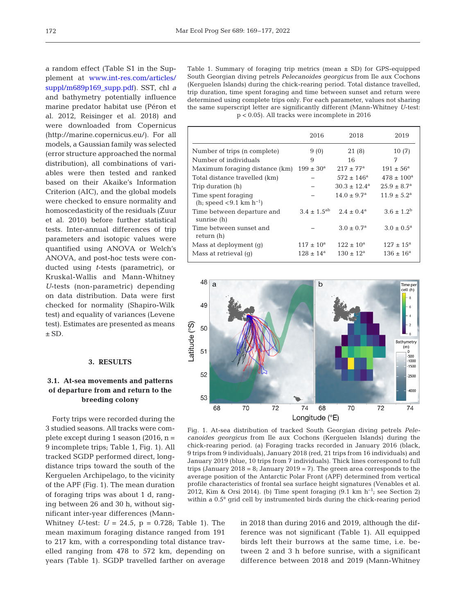a random effect (Table S1 in the Supplement at [www.int-res.com/articles/](https://www.int-res.com/articles/suppl/m689p169_supp.pdf) [suppl/m689p169\\_supp.pdf\)](https://www.int-res.com/articles/suppl/m689p169_supp.pdf). SST, chl *a* and bathymetry potentially influence marine predator habitat use (Péron et al. 2012, Reisinger et al. 2018) and were downloaded from Copernicus (http://marine.copernicus.eu/). For all models, a Gaussian family was selected (error structure approached the normal distribution), all combinations of variables were then tested and ranked based on their Akaike's Information Criterion (AIC), and the global models were checked to ensure normality and homoscedasticity of the residuals (Zuur et al. 2010) before further statistical tests. Inter-annual differences of trip parameters and isotopic values were quantified using ANOVA or Welch's ANOVA, and post-hoc tests were conducted using *t*-tests (parametric), or Kruskal-Wallis and Mann-Whitney *U*-tests (non-parametric) depending on data distribution. Data were first checked for normality (Shapiro-Wilk test) and equality of variances (Levene test). Estimates are presented as means  $\pm$  SD.

#### **3. RESULTS**

# **3.1. At-sea movements and patterns of departure from and return to the breeding colony**

Forty trips were recorded during the 3 studied seasons. All tracks were com plete except during 1 season (2016, n = 9 incomplete trips; Table 1, Fig. 1). All tracked SGDP performed direct, longdistance trips toward the south of the Kerguelen Archipelago, to the vicinity of the APF (Fig. 1). The mean duration of foraging trips was about 1 d, ranging between 26 and 30 h, without significant inter-year differences (Mann-

Whitney *U*-test:  $U = 24.5$ ,  $p = 0.728$ ; Table 1). The mean maximum foraging distance ranged from 191 to 217 km, with a corresponding total distance travelled ranging from 478 to 572 km, depending on years (Table 1). SGDP travelled farther on average

Table 1. Summary of foraging trip metrics (mean  $\pm$  SD) for GPS-equipped South Georgian diving petrels *Pelecanoides georgicus* from Ile aux Cochons (Kerguelen Islands) during the chick-rearing period. Total distance travelled, trip duration, time spent foraging and time between sunset and return were determined using complete trips only. For each parameter, values not sharing the same superscript letter are significantly different (Mann-Whitney *U*-test: p < 0.05). All tracks were incomplete in 2016

|                                                               | 2016                 | 2018                        | 2019                        |
|---------------------------------------------------------------|----------------------|-----------------------------|-----------------------------|
| Number of trips (n complete)                                  | 9(0)                 | 21(8)                       | 10(7)                       |
| Number of individuals                                         | 9                    | 16                          | 7                           |
| Maximum foraging distance (km)                                | $199 \pm 30^{\circ}$ | $217 \pm 77^{\rm a}$        | $191 \pm 56^{\circ}$        |
| Total distance travelled (km)                                 |                      | $572 \pm 146^a$             | $478 \pm 100^a$             |
| Trip duration (h)                                             |                      | $30.3 \pm 12.4^{\text{a}}$  | $25.9 \pm 8.7$ <sup>a</sup> |
| Time spent foraging<br>(h, speed $< 9.1$ km h <sup>-1</sup> ) |                      | $14.0 \pm 9.7$ <sup>a</sup> | $11.9 \pm 5.2^{\rm a}$      |
| Time between departure and<br>sunrise (h)                     | $3.4 + 1.5^{ab}$     | $2.4 + 0.4^{\rm a}$         | $3.6 \pm 1.2^b$             |
| Time between sunset and<br>return (h)                         |                      | $3.0 \pm 0.7^{\rm a}$       | $3.0 \pm 0.5^{\text{a}}$    |
| Mass at deployment (q)                                        | $117 \pm 10^a$       | $122 \pm 10^a$              | $127 \pm 15^a$              |
| Mass at retrieval (q)                                         | $128 \pm 14^a$       | $130 \pm 12^a$              | $136 \pm 16^a$              |



Fig. 1. At-sea distribution of tracked South Georgian diving petrels *Pelecanoides georgicus* from Ile aux Cochons (Kerguelen Islands) during the chick-rearing period. (a) Foraging tracks recorded in January 2016 (black, 9 trips from 9 individuals), January 2018 (red, 21 trips from 16 individuals) and January 2019 (blue, 10 trips from 7 individuals). Thick lines correspond to full trips (January 2018 =  $8$ ; January 2019 = 7). The green area corresponds to the average position of the Antarctic Polar Front (APF) determined from vertical profile characteristics of frontal sea surface height signatures (Venables et al. 2012, Kim & Orsi 2014). (b) Time spent foraging  $(9.1 \text{ km h}^{-1})$ ; see Section 2) within a 0.5° grid cell by instrumented birds during the chick-rearing period

in 2018 than during 2016 and 2019, although the difference was not significant (Table 1). All equipped birds left their burrows at the same time, i.e. between 2 and 3 h before sunrise, with a significant difference between 2018 and 2019 (Mann-Whitney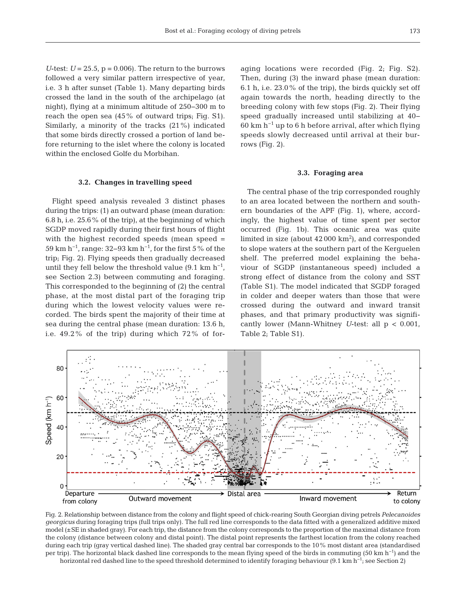*U*-test:  $U = 25.5$ ,  $p = 0.006$ ). The return to the burrows followed a very similar pattern irrespective of year, i.e. 3 h after sunset (Table 1). Many departing birds crossed the land in the south of the archipelago (at night), flying at a minimum altitude of 250−300 m to reach the open sea (45% of outward trips; Fig. S1). Similarly, a minority of the tracks (21%) indicated that some birds directly crossed a portion of land before returning to the islet where the colony is located within the enclosed Golfe du Morbihan.

# **3.2. Changes in travelling speed**

Flight speed analysis revealed 3 distinct phases during the trips: (1) an outward phase (mean duration: 6.8 h, i.e. 25.6% of the trip), at the beginning of which SGDP moved rapidly during their first hours of flight with the highest recorded speeds (mean speed = 59 km h−1, range: 32−93 km h−1, for the first 5% of the trip; Fig. 2). Flying speeds then gradually decreased until they fell below the threshold value (9.1 km  $h^{-1}$ , see Section 2.3) between commuting and foraging. This corresponded to the beginning of (2) the central phase, at the most distal part of the foraging trip during which the lowest velocity values were recorded. The birds spent the majority of their time at sea during the central phase (mean duration: 13.6 h, i.e. 49.2% of the trip) during which 72% of foraging locations were recorded (Fig. 2; Fig. S2). Then, during (3) the inward phase (mean duration: 6.1 h, i.e. 23.0% of the trip), the birds quickly set off again towards the north, heading directly to the breeding colony with few stops (Fig. 2). Their flying speed gradually increased until stabilizing at 40−  $60 \text{ km h}^{-1}$  up to 6 h before arrival, after which flying speeds slowly decreased until arrival at their burrows (Fig. 2).

#### **3.3. Foraging area**

The central phase of the trip corresponded roughly to an area located between the northern and southern boundaries of the APF (Fig. 1), where, accordingly, the highest value of time spent per sector occurred (Fig. 1b). This oceanic area was quite limited in size (about  $42000 \text{ km}^2$ ), and corresponded to slope waters at the southern part of the Kerguelen shelf. The preferred model explaining the behaviour of SGDP (instantaneous speed) included a strong effect of distance from the colony and SST (Table S1). The model indicated that SGDP foraged in colder and deeper waters than those that were crossed during the outward and inward transit phases, and that primary productivity was significantly lower (Mann-Whitney *U*-test: all p < 0.001, Table 2; Table S1).



Fig. 2. Relationship between distance from the colony and flight speed of chick-rearing South Georgian diving petrels *Pelecanoides georgicus* during foraging trips (full trips only). The full red line corresponds to the data fitted with a generalized additive mixed model (±SE in shaded gray). For each trip, the distance from the colony corresponds to the proportion of the maximal distance from the colony (distance between colony and distal point). The distal point represents the farthest location from the colony reached during each trip (gray vertical dashed line). The shaded gray central bar corresponds to the 10% most distant area (standardised per trip). The horizontal black dashed line corresponds to the mean flying speed of the birds in commuting (50 km h<sup>-1</sup>) and the

horizontal red dashed line to the speed threshold determined to identify foraging behaviour (9.1 km h<sup>-1</sup>; see Section 2)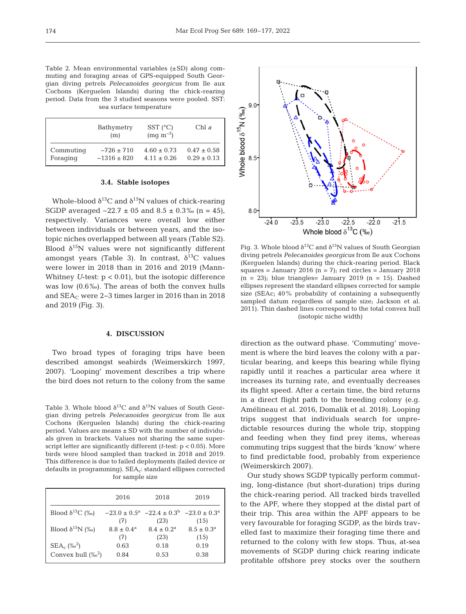Table 2. Mean environmental variables (±SD) along commuting and foraging areas of GPS-equipped South Georgian diving petrels *Pelecanoides georgicus* from Ile aux Cochons (Kerguelen Islands) during the chick-rearing period. Data from the 3 studied seasons were pooled. SST: sea surface temperature

|           | Bathymetry<br>(m) | $SST$ (°C)<br>$(mg \; m^{-3})$ | Chl $\partial$  |
|-----------|-------------------|--------------------------------|-----------------|
| Commuting | $-726 \pm 710$    | $4.60 \pm 0.73$                | $0.47 \pm 0.58$ |
| Foraging  | $-1316 \pm 820$   | $4.11 \pm 0.26$                | $0.29 \pm 0.13$ |

## **3.4. Stable isotopes**

Whole-blood  $\delta^{13}C$  and  $\delta^{15}N$  values of chick-rearing SGDP averaged  $-22.7 \pm 05$  and  $8.5 \pm 0.3\%$  (n = 45), respectively. Variances were overall low either between individuals or between years, and the isotopic niches overlapped between all years (Table S2). Blood  $\delta^{15}$ N values were not significantly different amongst years (Table 3). In contrast,  $\delta^{13}$ C values were lower in 2018 than in 2016 and 2019 (Mann-Whitney *U*-test: p < 0.01), but the isotopic difference was low (0.6‰). The areas of both the convex hulls and SEA<sub>C</sub> were 2-3 times larger in 2016 than in 2018 and 2019 (Fig. 3).

## **4. DISCUSSION**

Two broad types of foraging trips have been described amongst seabirds (Weimerskirch 1997, 2007). 'Looping' movement describes a trip where the bird does not return to the colony from the same

Table 3. Whole blood  $\delta^{13}C$  and  $\delta^{15}N$  values of South Georgian diving petrels *Pelecanoides georgicus* from Ile aux Cochons (Kerguelen Islands) during the chick-rearing period. Values are means ± SD with the number of individuals given in brackets. Values not sharing the same superscript letter are significantly different (*t*-test: p < 0.05). More birds were blood sampled than tracked in 2018 and 2019. This difference is due to failed deployments (failed device or defaults in programming). SEA<sub>c</sub>: standard ellipses corrected for sample size

|                           | 2016                  | 2018                                                                             | 2019                  |
|---------------------------|-----------------------|----------------------------------------------------------------------------------|-----------------------|
| Blood $\delta^{13}C$ (%)  |                       | $-23.0 \pm 0.5^{\text{a}}$ $-22.4 \pm 0.3^{\text{b}}$ $-23.0 \pm 0.3^{\text{a}}$ |                       |
|                           | (7)                   | (23)                                                                             | (15)                  |
| Blood $\delta^{15}N$ (%)  | $8.8 \pm 0.4^{\rm a}$ | $8.4 \pm 0.2^{\rm a}$                                                            | $8.5 \pm 0.3^{\rm a}$ |
|                           | (7)                   | (23)                                                                             | (15)                  |
| $SEA_c$ (% <sup>2</sup> ) | 0.63                  | 0.18                                                                             | 0.19                  |
| Convex hull $(\%^2)$      | 0.84                  | 0.53                                                                             | 0.38                  |



Fig. 3. Whole blood  $\delta^{13}C$  and  $\delta^{15}N$  values of South Georgian diving petrels *Pelecanoides georgicus* from Ile aux Cochons (Kerguelen Islands) during the chick-rearing period. Black squares = January 2016 ( $n = 7$ ); red circles = January 2018  $(n = 23)$ ; blue triangles= January 2019  $(n = 15)$ . Dashed ellipses represent the standard ellipses corrected for sample size (SEAc; 40% probability of containing a subsequently sampled datum regardless of sample size; Jackson et al. 2011). Thin dashed lines correspond to the total convex hull (isotopic niche width)

direction as the outward phase. 'Commuting' movement is where the bird leaves the colony with a particular bearing, and keeps this bearing while flying rapidly until it reaches a particular area where it increases its turning rate, and eventually decreases its flight speed. After a certain time, the bird returns in a direct flight path to the breeding colony (e.g. Amélineau et al. 2016, Domalik et al. 2018). Looping trips suggest that individuals search for unpredictable resources during the whole trip, stopping and feeding when they find prey items, whereas commuting trips suggest that the birds 'know' where to find predictable food, probably from experience (Weimerskirch 2007).

Our study shows SGDP typically perform commuting, long-distance (but short-duration) trips during the chick-rearing period. All tracked birds travelled to the APF, where they stopped at the distal part of their trip. This area within the APF appears to be very favourable for foraging SGDP, as the birds travelled fast to maximize their foraging time there and returned to the colony with few stops. Thus, at-sea movements of SGDP during chick rearing indicate profitable offshore prey stocks over the southern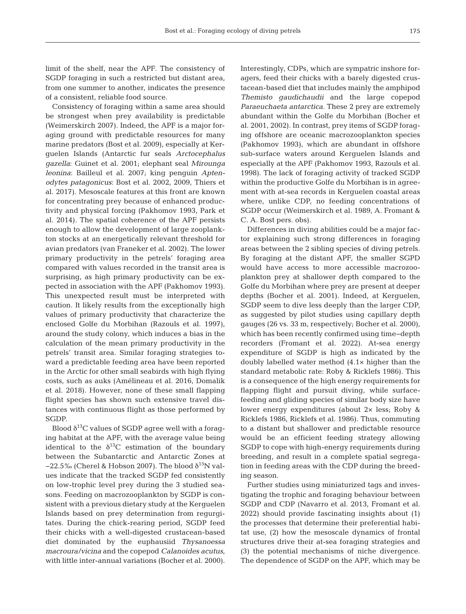of a consistent, reliable food source. Consistency of foraging within a same area should be strongest when prey availability is predictable (Weimerskirch 2007). Indeed, the APF is a major foraging ground with predictable resources for many marine predators (Bost et al. 2009), especially at Kerguelen Islands (Antarctic fur seals *Arctocephalus gazella*: Guinet et al. 2001; elephant seal *Mirounga leonina*: Bailleul et al. 2007; king penguin *Aptenodytes patagonicus*: Bost et al. 2002, 2009, Thiers et al. 2017). Mesoscale features at this front are known for concentrating prey because of enhanced productivity and physical forcing (Pakhomov 1993, Park et al. 2014). The spatial coherence of the APF persists enough to allow the development of large zooplankton stocks at an energetically relevant threshold for avian predators (van Franeker et al. 2002). The lower primary productivity in the petrels' foraging area compared with values recorded in the transit area is surprising, as high primary productivity can be expected in association with the APF (Pakhomov 1993). This unexpected result must be interpreted with caution. It likely results from the exceptionally high values of primary productivity that characterize the enclosed Golfe du Morbihan (Razouls et al. 1997), around the study colony, which induces a bias in the calculation of the mean primary productivity in the petrels' transit area. Similar foraging strategies toward a predictable feeding area have been reported in the Arctic for other small seabirds with high flying costs, such as auks (Amélineau et al. 2016, Domalik et al. 2018). However, none of these small flapping flight species has shown such extensive travel distances with continuous flight as those performed by SGDP.

SGDP foraging in such a restricted but distant area, from one summer to another, indicates the presence

Blood  $\delta^{13}$ C values of SGDP agree well with a foraging habitat at the APF, with the average value being identical to the  $\delta^{13}C$  estimation of the boundary between the Subantarctic and Antarctic Zones at −22.5‰ (Cherel & Hobson 2007). The blood  $\delta^{15}N$  values indicate that the tracked SGDP fed consistently on low-trophic level prey during the 3 studied seasons. Feeding on macrozooplankton by SGDP is consistent with a previous dietary study at the Kerguelen Islands based on prey determination from regurgitates. During the chick-rearing period, SGDP feed their chicks with a well-digested crustacean-based diet dominated by the euphausiid *Thysanoessa macroura/vicina* and the copepod *Calanoides acutus*, with little inter-annual variations (Bocher et al. 2000).

Interestingly, CDPs, which are sympatric inshore foragers, feed their chicks with a barely digested crustacean-based diet that includes mainly the amphipod *Themisto gaudichaudii* and the large copepod *Paraeuchaeta antarctica.* These 2 prey are extremely abundant within the Golfe du Morbihan (Bocher et al. 2001, 2002). In contrast, prey items of SGDP foraging offshore are oceanic macrozooplankton species (Pakhomov 1993), which are abundant in offshore sub-surface waters around Kerguelen Islands and especially at the APF (Pakhomov 1993, Razouls et al. 1998). The lack of foraging activity of tracked SGDP within the productive Golfe du Morbihan is in agreement with at-sea records in Kerguelen coastal areas where, unlike CDP, no feeding concentrations of SGDP occur (Weimerskirch et al. 1989, A. Fromant & C. A. Bost pers. obs).

Differences in diving abilities could be a major factor explaining such strong differences in foraging areas between the 2 sibling species of diving petrels. By foraging at the distant APF, the smaller SGPD would have access to more accessible macrozooplankton prey at shallower depth compared to the Golfe du Morbihan where prey are present at deeper depths (Bocher et al. 2001). Indeed, at Kerguelen, SGDP seem to dive less deeply than the larger CDP, as suggested by pilot studies using capillary depth gauges (26 vs. 33 m, respectively; Bocher et al. 2000), which has been recently confirmed using time−depth recorders (Fromant et al. 2022). At-sea energy expenditure of SGDP is high as indicated by the doubly labelled water method (4.1× higher than the standard metabolic rate: Roby & Ricklefs 1986). This is a consequence of the high energy requirements for flapping flight and pursuit diving, while surfacefeeding and gliding species of similar body size have lower energy expenditures (about 2× less; Roby & Ricklefs 1986, Ricklefs et al. 1986). Thus, commuting to a distant but shallower and predictable resource would be an efficient feeding strategy allowing SGDP to cope with high-energy requirements during breeding, and result in a complete spatial segregation in feeding areas with the CDP during the breeding season.

Further studies using miniaturized tags and investigating the trophic and foraging behaviour between SGDP and CDP (Navarro et al. 2013, Fromant et al. 2022) should provide fascinating insights about (1) the processes that determine their preferential habitat use, (2) how the mesoscale dynamics of frontal structures drive their at-sea foraging strategies and (3) the potential mechanisms of niche divergence. The dependence of SGDP on the APF, which may be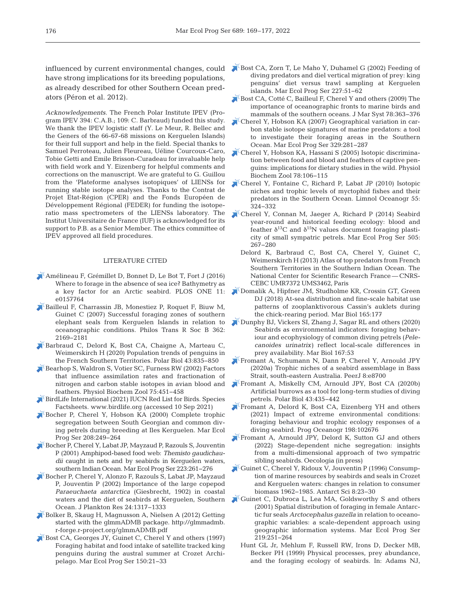have strong implications for its breeding populations, as already described for other Southern Ocean predators (Péron et al. 2012).

*Acknowledgements*. The French Polar Institute IPEV (Program IPEV 394: C.A.B.; 109: C. Barbraud) funded this study. We thank the IPEV logistic staff (Y. Le Meur, R. Bellec and the Geners of the 66-67-68 missions on Kerguelen Islands) for their full support and help in the field. Special thanks to Samuel Perroteau, Julien Fleureau, Uéline Courcoux-Caro, Tobie Getti and Emile Brisson-Curadeau for invaluable help with field work and Y. Eizenberg for helpful comments and corrections on the manuscript. We are grateful to G. Guillou from the 'Plateforme analyses isotopiques' of LIENSs for running stable isotope analyses. Thanks to the Contrat de Projet Etat-Région (CPER) and the Fonds Européen de Développement Régional (FEDER) for funding the isotoperatio mass spectrometers of the LIENSs laboratory. The Institut Universitaire de France (IUF) is acknowledged for its support to P.B. as a Senior Member. The ethics committee of IPEV approved all field procedures.

## LITERATURE CITED

- [Amélineau F, Grémillet D, Bonnet D, Le Bot T, Fort J \(2016\)](https://doi.org/10.1371/journal.pone.0157764)  Where to forage in the absence of sea ice? Bathymetry as a key factor for an Arctic seabird. PLOS ONE 11: e0157764
- [Bailleul F, Charrassin JB, Monestiez P, Roquet F, Biuw M,](https://doi.org/10.1098/rstb.2007.2109)  Guinet C (2007) Successful foraging zones of southern elephant seals from Kerguelen Islands in relation to oceanographic conditions. Philos Trans R Soc B 362: 2169−2181
- [Barbraud C, Delord K, Bost CA, Chaigne A, Marteau C,](https://doi.org/10.1007/s00300-020-02691-6)  Weimerskirch H (2020) Population trends of penguins in the French Southern Territories. Polar Biol 43: 835−850
- [Bearhop S, Waldron S, Votier SC, Furness RW \(2002\) Factors](https://doi.org/10.1086/342800)  that influence assimilation rates and fractionation of nitrogen and carbon stable isotopes in avian blood and feathers. Physiol Biochem Zool 75: 451−458
- [BirdLife International \(2021\) IUCN Red List for Birds. Species](http://seabirdtracking.org/)  Factsheets. www.birdlife.org (accessed 10 Sep 2021)
- [Bocher P, Cherel Y, Hobson KA \(2000\) Complete trophic](https://doi.org/10.3354/meps208249)  segregation between South Georgian and common diving petrels during breeding at Iles Kerguelen. Mar Ecol Prog Ser 208: 249−264
- [Bocher P, Cherel Y, Labat JP, Mayzaud P, Razouls S, Jouventin](https://doi.org/10.3354/meps223261)  P (2001) Amphipod-based food web: *Themisto gaudichaudii* caught in nets and by seabirds in Kerguelen waters, southern Indian Ocean. Mar Ecol Prog Ser 223: 261−276
- [Bocher P, Cherel Y, Alonzo F, Razouls S, Labat JP, Mayzaud](https://doi.org/10.1093/plankt/24.12.1317)  P, Jouventin P (2002) Importance of the large copepod *Paraeuchaeta antarctica* (Giesbrecht, 1902) in coastal waters and the diet of seabirds at Kerguelen, Southern Ocean. J Plankton Res 24: 1317−1333
- [Bolker B, Skaug H, Magnusson A, Nielsen A \(2012\) Getting](http://glmmadmb.r-forge.r-project.org/glmmADMB.pdf)  started with the glmmADMB package. http://glmmadmb. r-forge.r-project.org/glmmADMB.pdf
- [Bost CA, Georges JY, Guinet C, Cherel Y and others \(1997\)](https://doi.org/10.3354/meps150021)  Foraging habitat and food intake of satellite tracked king penguins during the austral summer at Crozet Archipelago. Mar Ecol Prog Ser 150:21-33
- influenced by current environmental changes, could [Bost CA, Zorn T, Le Maho Y, Duhamel G \(2002\) Feeding of](https://doi.org/10.3354/meps227051)  diving predators and diel vertical migration of prey: king penguins' diet versus trawl sampling at Kerguelen islands. Mar Ecol Prog Ser 227:51-62
	- [Bost CA, Cotté C, Bailleul F, Cherel Y and others \(2009\) The](https://doi.org/10.1016/j.jmarsys.2008.11.022)  importance of oceanographic fronts to marine birds and mammals of the southern oceans. J Mar Syst 78:363-376
	- [Cherel Y, Hobson KA \(2007\) Geographical variation in car](https://doi.org/10.3354/meps329281)bon stable isotope signatures of marine predators: a tool to investigate their foraging areas in the Southern Ocean. Mar Ecol Prog Ser 329:281-287
	- [Cherel Y, Hobson KA, Hassani S \(2005\) Isotopic discrimina](https://doi.org/10.1086/425202)tion between food and blood and feathers of captive penguins:implications for dietary studies in the wild. Physiol Biochem Zool 78: 106−115
	- [Cherel Y, Fontaine C, Richard P, Labat JP \(2010\) Isotopic](https://doi.org/10.4319/lo.2010.55.1.0324)  niches and trophic levels of myctophid fishes and their predators in the Southern Ocean. Limnol Oceanogr 55: 324−332
	- [Cherel Y, Connan M, Jaeger A, Richard P \(2014\) Seabird](https://doi.org/10.3354/meps10795)  year-round and historical feeding ecology: blood and feather  $\delta^{13}$ C and  $\delta^{15}$ N values document foraging plasticity of small sympatric petrels. Mar Ecol Prog Ser 505: 267−280
		- Delord K, Barbraud C, Bost CA, Cherel Y, Guinet C, Weimers kirch H (2013) Atlas of top predators from French Southern Territories in the Southern Indian Ocean. The National Center for Scientific Research France — CNRS-CEBC UMR7372 UMS3462, Paris
	- [Domalik A, Hipfner JM, Studholme KR, Crossin GT, Green](https://doi.org/10.1007/s00227-018-3434-8)  DJ (2018) At-sea distribution and fine-scale habitat use patterns of zooplanktivorous Cassin's auklets during the chick-rearing period. Mar Biol 165: 177
	- [Dunphy BJ, Vickers SI, Zhang J, Sagar RL and others \(2020\)](https://doi.org/10.1007/s00227-020-3672-4)  Seabirds as environmental indicators: foraging behaviour and ecophysiology of common diving petrels (*Pelecanoides urinatrix)* reflect local-scale differences in prey availability. Mar Biol 167:53
	- [Fromant A, Schumann N, Dann P, Cherel Y, Arnould JPY](https://doi.org/10.7717/peerj.8700)  (2020a) Trophic niches of a seabird assemblage in Bass Strait, south-eastern Australia. PeerJ 8:e8700
	- [Fromant A, Miskelly CM, Arnould JPY, Bost CA \(2020b\)](https://doi.org/10.1007/s00300-020-02645-y)  Artificial burrows as a tool for long-term studies of diving petrels. Polar Biol 43:435-442
	- [Fromant A, Delord K, Bost CA, Eizenberg YH and others](https://doi.org/10.1016/j.pocean.2021.102676)  (2021) Impact of extreme environmental conditions: foraging behaviour and trophic ecology responses of a diving seabird. Prog Oceanogr 198: 102676
	- [Fromant A, Arnould JPY, Delord K, Sutton GJ and others](https://dx.doi.org/10.1007/s00442-022-05181-0)  (2022) Stage-dependent niche segregation: insights from a multi-dimensional approach of two sympatric sibling seabirds. Oecologia (in press)
	- [Guinet C, Cherel Y, Ridoux V, Jouventin P \(1996\) Consump](https://doi.org/10.1017/S0954102096000053)tion of marine resources by seabirds and seals in Crozet and Kerguelen waters: changes in relation to consumer biomass 1962−1985. Antarct Sci 8: 23−30
	- [Guinet C, Dubroca L, Lea MA, Goldsworthy S and others](https://doi.org/10.3354/meps219251)  (2001) Spatial distribution of foraging in female Antarctic fur seals *Arctocephalus gazella* in relation to oceanographic variables: a scale-dependent approach using geographic information systems. Mar Ecol Prog Ser 219: 251−264
		- Hunt GL Jr, Mehlum F, Russell RW, Irons D, Decker MB, Becker PH (1999) Physical processes, prey abundance, and the foraging ecology of seabirds. In: Adams NJ,